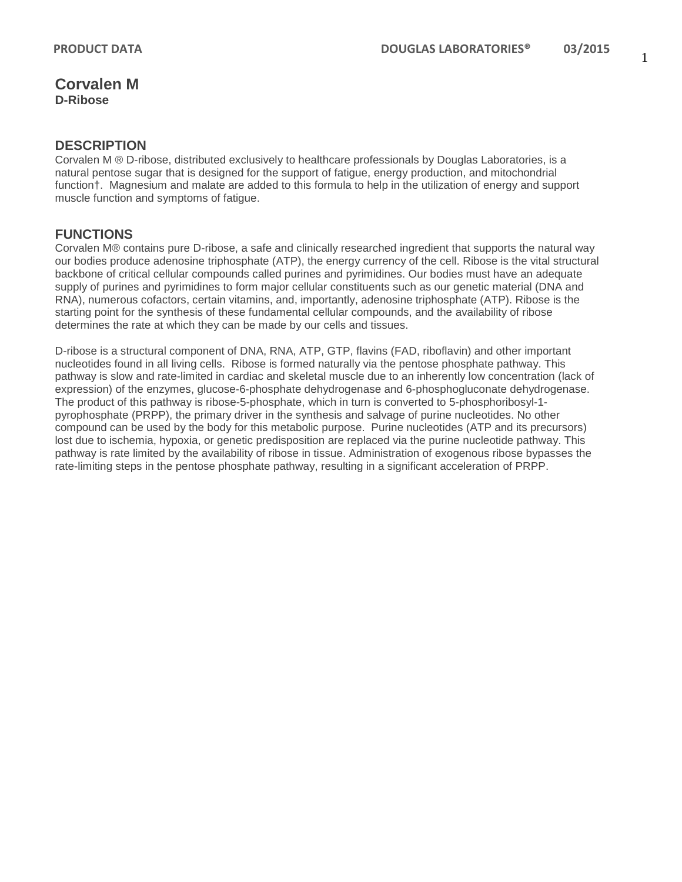### **DESCRIPTION**

Corvalen M ® D-ribose, distributed exclusively to healthcare professionals by Douglas Laboratories, is a natural pentose sugar that is designed for the support of fatigue, energy production, and mitochondrial function†. Magnesium and malate are added to this formula to help in the utilization of energy and support muscle function and symptoms of fatigue.

## **FUNCTIONS**

Corvalen M® contains pure D-ribose, a safe and clinically researched ingredient that supports the natural way our bodies produce adenosine triphosphate (ATP), the energy currency of the cell. Ribose is the vital structural backbone of critical cellular compounds called purines and pyrimidines. Our bodies must have an adequate supply of purines and pyrimidines to form major cellular constituents such as our genetic material (DNA and RNA), numerous cofactors, certain vitamins, and, importantly, adenosine triphosphate (ATP). Ribose is the starting point for the synthesis of these fundamental cellular compounds, and the availability of ribose determines the rate at which they can be made by our cells and tissues.

D-ribose is a structural component of DNA, RNA, ATP, GTP, flavins (FAD, riboflavin) and other important nucleotides found in all living cells. Ribose is formed naturally via the pentose phosphate pathway. This pathway is slow and rate-limited in cardiac and skeletal muscle due to an inherently low concentration (lack of expression) of the enzymes, glucose-6-phosphate dehydrogenase and 6-phosphogluconate dehydrogenase. The product of this pathway is ribose-5-phosphate, which in turn is converted to 5-phosphoribosyl-1 pyrophosphate (PRPP), the primary driver in the synthesis and salvage of purine nucleotides. No other compound can be used by the body for this metabolic purpose. Purine nucleotides (ATP and its precursors) lost due to ischemia, hypoxia, or genetic predisposition are replaced via the purine nucleotide pathway. This pathway is rate limited by the availability of ribose in tissue. Administration of exogenous ribose bypasses the rate-limiting steps in the pentose phosphate pathway, resulting in a significant acceleration of PRPP.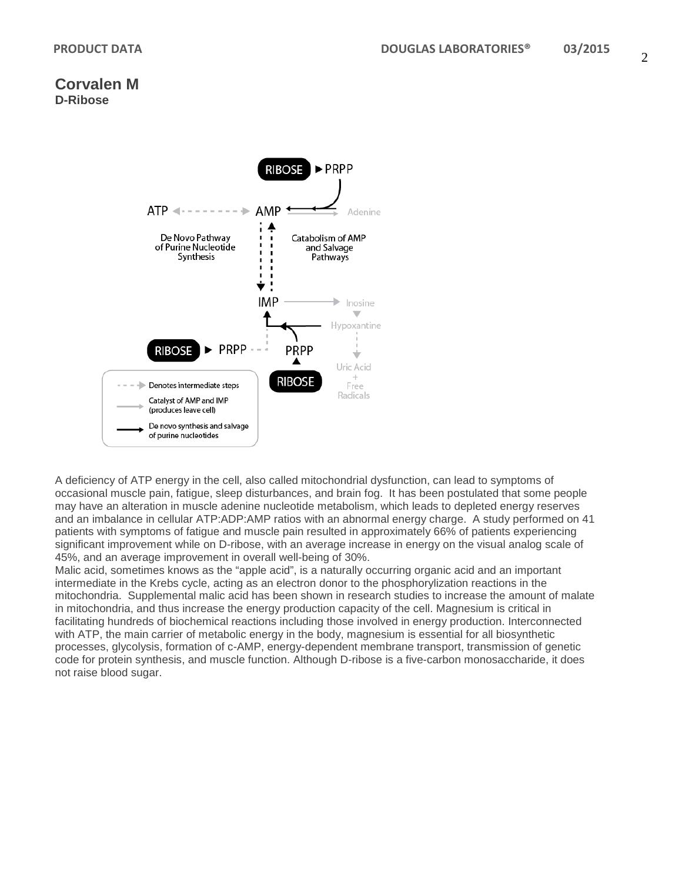

A deficiency of ATP energy in the cell, also called mitochondrial dysfunction, can lead to symptoms of occasional muscle pain, fatigue, sleep disturbances, and brain fog. It has been postulated that some people may have an alteration in muscle adenine nucleotide metabolism, which leads to depleted energy reserves and an imbalance in cellular ATP:ADP:AMP ratios with an abnormal energy charge. A study performed on 41 patients with symptoms of fatigue and muscle pain resulted in approximately 66% of patients experiencing significant improvement while on D-ribose, with an average increase in energy on the visual analog scale of 45%, and an average improvement in overall well-being of 30%.

Malic acid, sometimes knows as the "apple acid", is a naturally occurring organic acid and an important intermediate in the Krebs cycle, acting as an electron donor to the phosphorylization reactions in the mitochondria. Supplemental malic acid has been shown in research studies to increase the amount of malate in mitochondria, and thus increase the energy production capacity of the cell. Magnesium is critical in facilitating hundreds of biochemical reactions including those involved in energy production. Interconnected with ATP, the main carrier of metabolic energy in the body, magnesium is essential for all biosynthetic processes, glycolysis, formation of c-AMP, energy-dependent membrane transport, transmission of genetic code for protein synthesis, and muscle function. Although D-ribose is a five-carbon monosaccharide, it does not raise blood sugar.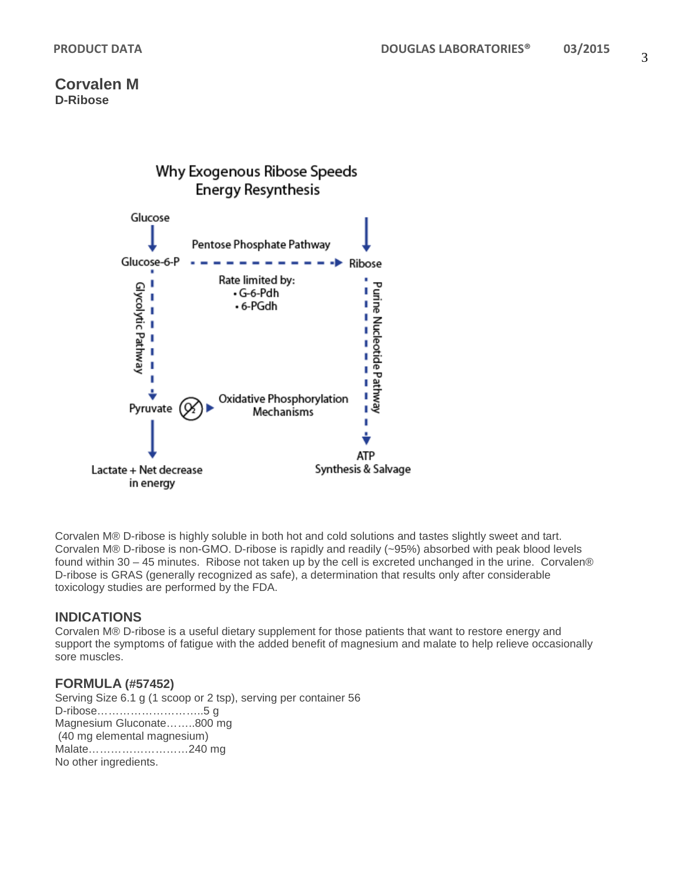

Corvalen M® D-ribose is highly soluble in both hot and cold solutions and tastes slightly sweet and tart. Corvalen M® D-ribose is non-GMO. D-ribose is rapidly and readily (~95%) absorbed with peak blood levels found within 30 – 45 minutes. Ribose not taken up by the cell is excreted unchanged in the urine. Corvalen® D-ribose is GRAS (generally recognized as safe), a determination that results only after considerable toxicology studies are performed by the FDA.

## **INDICATIONS**

Corvalen M® D-ribose is a useful dietary supplement for those patients that want to restore energy and support the symptoms of fatigue with the added benefit of magnesium and malate to help relieve occasionally sore muscles.

## **FORMULA (#57452)**

Serving Size 6.1 g (1 scoop or 2 tsp), serving per container 56 D-ribose………………………..5 g Magnesium Gluconate……..800 mg (40 mg elemental magnesium) Malate………………………240 mg No other ingredients.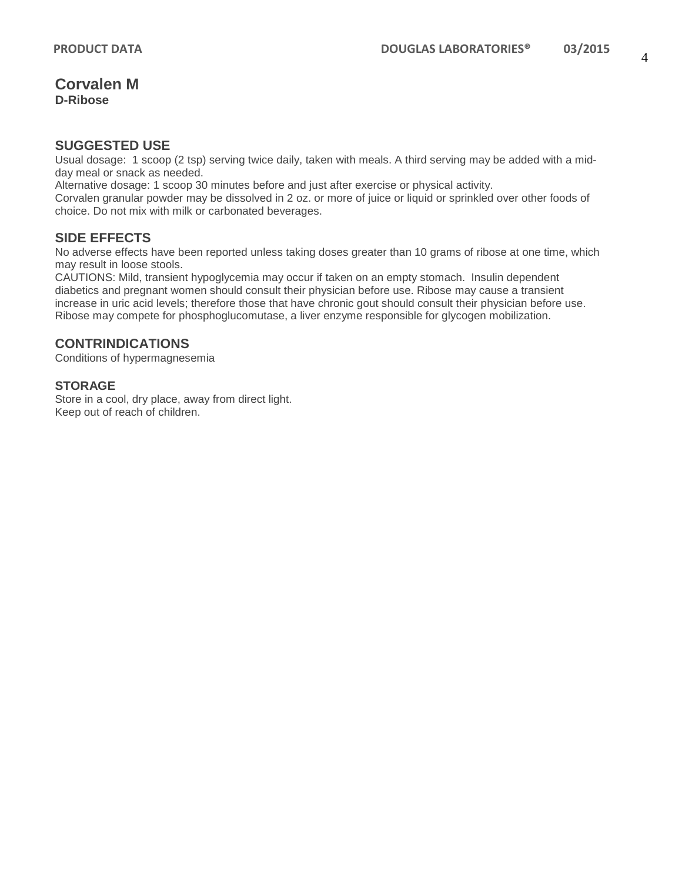### **SUGGESTED USE**

Usual dosage: 1 scoop (2 tsp) serving twice daily, taken with meals. A third serving may be added with a midday meal or snack as needed.

Alternative dosage: 1 scoop 30 minutes before and just after exercise or physical activity.

Corvalen granular powder may be dissolved in 2 oz. or more of juice or liquid or sprinkled over other foods of choice. Do not mix with milk or carbonated beverages.

## **SIDE EFFECTS**

No adverse effects have been reported unless taking doses greater than 10 grams of ribose at one time, which may result in loose stools.

CAUTIONS: Mild, transient hypoglycemia may occur if taken on an empty stomach. Insulin dependent diabetics and pregnant women should consult their physician before use. Ribose may cause a transient increase in uric acid levels; therefore those that have chronic gout should consult their physician before use. Ribose may compete for phosphoglucomutase, a liver enzyme responsible for glycogen mobilization.

## **CONTRINDICATIONS**

Conditions of hypermagnesemia

### **STORAGE**

Store in a cool, dry place, away from direct light. Keep out of reach of children.